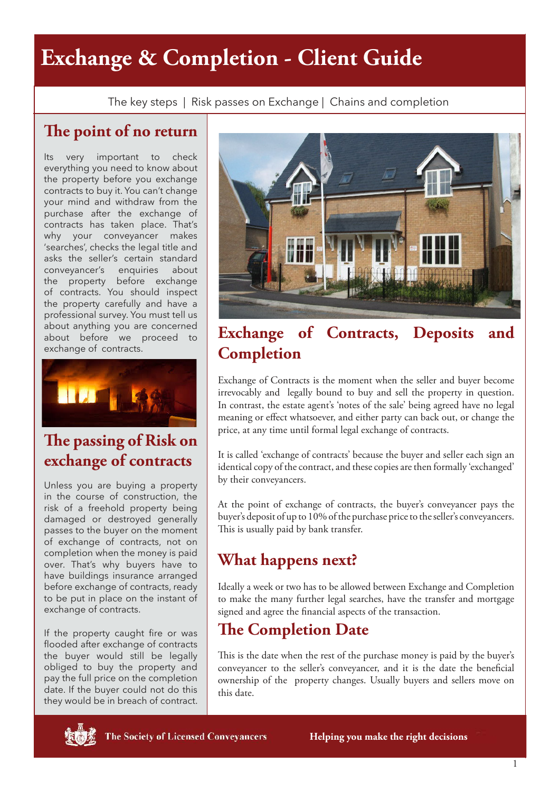# **Exchange & Completion - Client Guide**

The key steps | Risk passes on Exchange | Chains and completion

### **The point of no return**

Its very important to check everything you need to know about the property before you exchange contracts to buy it. You can't change your mind and withdraw from the purchase after the exchange of contracts has taken place. That's why your conveyancer makes 'searches', checks the legal title and asks the seller's certain standard conveyancer's enquiries about the property before exchange of contracts. You should inspect the property carefully and have a professional survey. You must tell us about anything you are concerned about before we proceed to exchange of contracts.



## **The passing of Risk on exchange of contracts**

Unless you are buying a property in the course of construction, the risk of a freehold property being damaged or destroyed generally passes to the buyer on the moment of exchange of contracts, not on completion when the money is paid over. That's why buyers have to have buildings insurance arranged before exchange of contracts, ready to be put in place on the instant of exchange of contracts.

If the property caught fire or was flooded after exchange of contracts the buyer would still be legally obliged to buy the property and pay the full price on the completion date. If the buyer could not do this they would be in breach of contract.



### **Exchange of Contracts, Deposits and Completion**

Exchange of Contracts is the moment when the seller and buyer become irrevocably and legally bound to buy and sell the property in question. In contrast, the estate agent's 'notes of the sale' being agreed have no legal meaning or effect whatsoever, and either party can back out, or change the price, at any time until formal legal exchange of contracts.

It is called 'exchange of contracts' because the buyer and seller each sign an identical copy of the contract, and these copies are then formally 'exchanged' by their conveyancers.

At the point of exchange of contracts, the buyer's conveyancer pays the buyer's deposit of up to 10% of the purchase price to the seller's conveyancers. This is usually paid by bank transfer.

## **What happens next?**

Ideally a week or two has to be allowed between Exchange and Completion to make the many further legal searches, have the transfer and mortgage signed and agree the financial aspects of the transaction.

#### **The Completion Date**

This is the date when the rest of the purchase money is paid by the buyer's conveyancer to the seller's conveyancer, and it is the date the beneficial ownership of the property changes. Usually buyers and sellers move on this date.